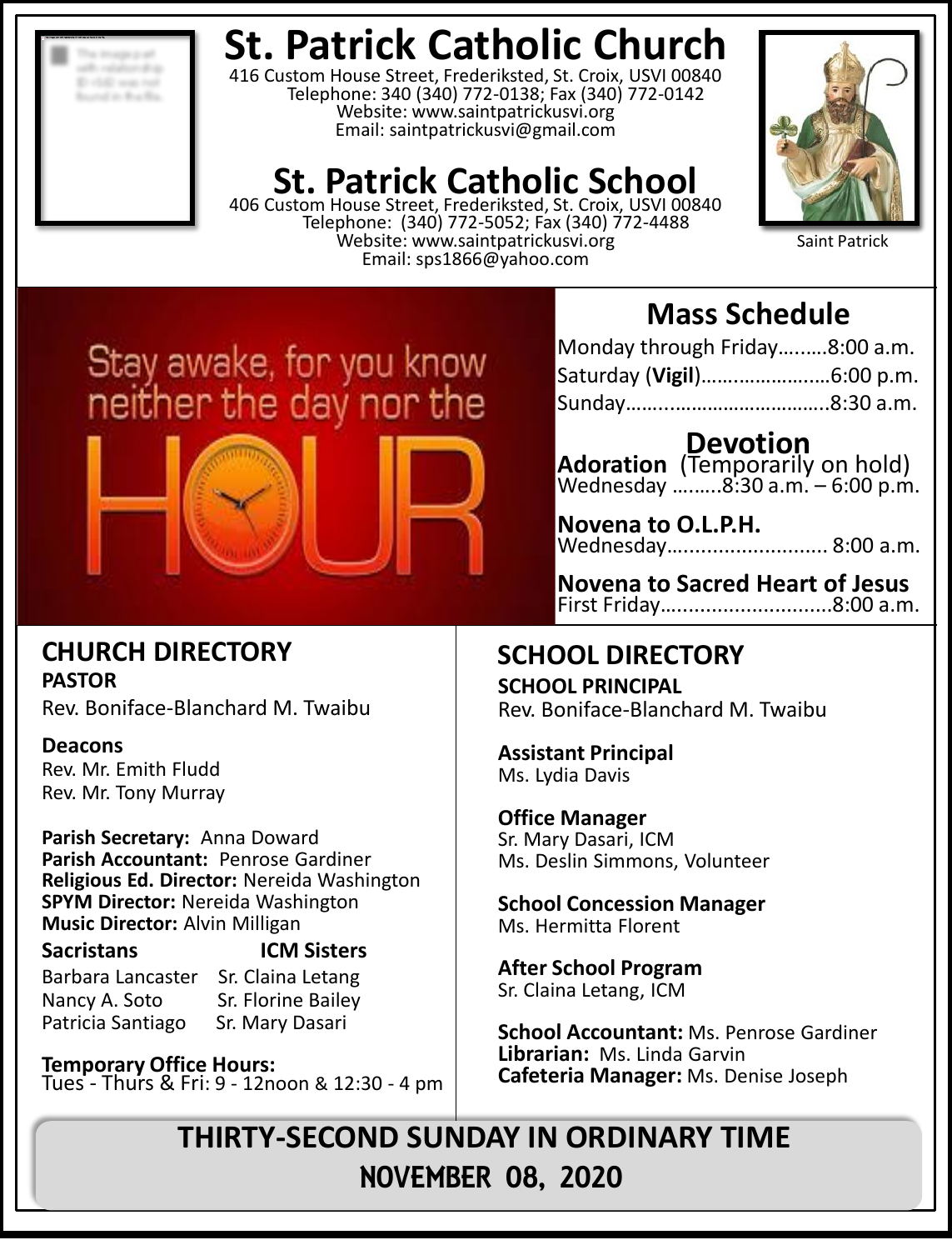## **St. Patrick Catholic Church**

416 Custom House Street, Frederiksted, St. Croix, USVI 00840 Telephone: 340 (340) 772-0138; Fax (340) 772-0142 Website: www.saintpatrickusvi.org Email: saintpatrickusvi@gmail.com

## **St. Patrick Catholic School**

406 Custom House Street, Frederiksted, St. Croix, USVI 00840 Telephone: (340) 772-5052; Fax (340) 772-4488 Website: www.saintpatrickusvi.org Email: sps1866@yahoo.com



Saint Patrick

# Stay awake, for you know<br>neither the day nor the



## **Mass Schedule**

| Monday through Friday8:00 a.m. |  |
|--------------------------------|--|
| Saturday (Vigil)6:00 p.m.      |  |
|                                |  |

**Devotion Adoration** (Temporarily on hold) Wednesday ….…..8:30 a.m. – 6:00 p.m.

**Novena to O.L.P.H.** Wednesday…......................... 8:00 a.m.

**Novena to Sacred Heart of Jesus** First Friday…...........................8:00 a.m.

### **SCHOOL DIRECTORY**

**SCHOOL PRINCIPAL** Rev. Boniface-Blanchard M. Twaibu

**Assistant Principal** Ms. Lydia Davis

**Office Manager** Sr. Mary Dasari, ICM Ms. Deslin Simmons, Volunteer

**School Concession Manager** Ms. Hermitta Florent

**After School Program** Sr. Claina Letang, ICM

**School Accountant:** Ms. Penrose Gardiner **Librarian:** Ms. Linda Garvin **Cafeteria Manager:** Ms. Denise Joseph

**THIRTY-SECOND SUNDAY IN ORDINARY TIME** NOVEMBER 08, 2020

## **CHURCH DIRECTORY**

**PASTOR** Rev. Boniface-Blanchard M. Twaibu

#### **Deacons**

Rev. Mr. Emith Fludd Rev. Mr. Tony Murray

**Parish Secretary:** Anna Doward **Parish Accountant:** Penrose Gardiner **Religious Ed. Director:** Nereida Washington **SPYM Director:** Nereida Washington **Music Director:** Alvin Milligan

#### **Sacristans ICM Sisters**

Barbara Lancaster Sr. Claina Letang Nancy A. Soto Sr. Florine Bailey Patricia Santiago Sr. Mary Dasari

**Temporary Office Hours:**  Tues - Thurs & Fri: 9 - 12noon & 12:30 - 4 pm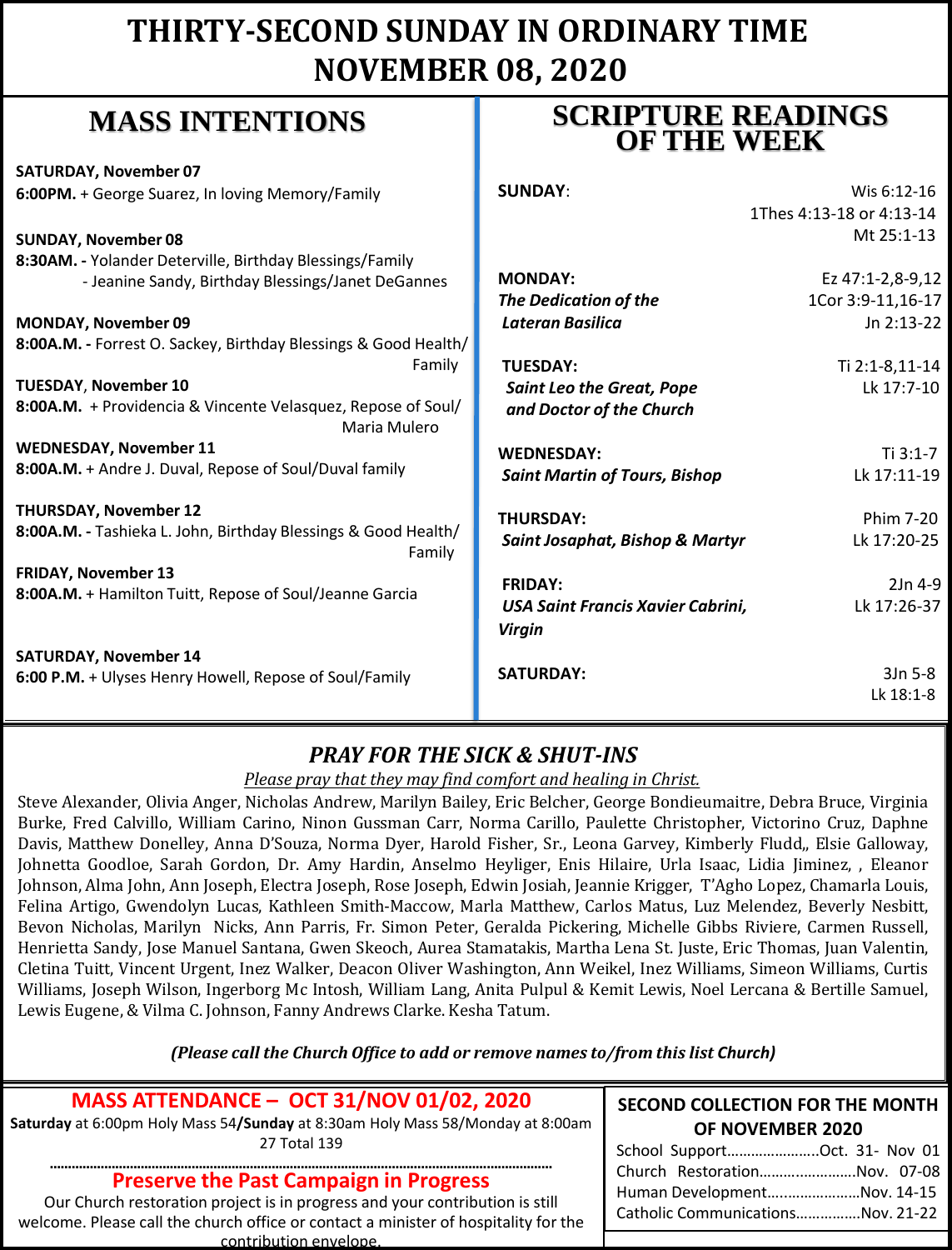## **THIRTY-SECOND SUNDAY IN ORDINARY TIME NOVEMBER 08, 2020**

### **MASS INTENTIONS**

**SATURDAY, November 07 6:00PM.** + George Suarez, In loving Memory

**SUNDAY, November 08**  8:30AM. - Yolander Deterville, Birthday Bles - Jeanine Sandy, Birthday Blessings

**MONDAY, November 09 8:00A.M. - Forrest O. Sackey, Birthday Bless** 

**TUESDAY**, **November 10**  8:00A.M. + Providencia & Vincente Velasqu

**WEDNESDAY, November 11** 8:00A.M. + Andre J. Duval, Repose of Soul/D

**THURSDAY, November 12** 8:00A.M. - Tashieka L. John, Birthday Blessir

**FRIDAY, November 13** 8:00A.M. + Hamilton Tuitt, Repose of Soul/J

**SATURDAY, November 14 6:00 P.M.** + Ulyses Henry Howell, Repose of

#### **SCRIPTURE READINGS OF THE WEEK**

| //Family                            | <b>SUNDAY:</b>                       | Wis 6:12-16              |
|-------------------------------------|--------------------------------------|--------------------------|
|                                     |                                      | 1Thes 4:13-18 or 4:13-14 |
|                                     |                                      | Mt 25:1-13               |
| sings/Family                        |                                      |                          |
| S/Janet DeGannes                    | <b>MONDAY:</b>                       | Ez 47:1-2,8-9,12         |
|                                     | <b>The Dedication of the</b>         | 1Cor 3:9-11,16-17        |
|                                     | Lateran Basilica                     | Jn 2:13-22               |
| ings & Good Health/                 |                                      |                          |
| Family                              | <b>TUESDAY:</b>                      | Ti 2:1-8,11-14           |
|                                     | <b>Saint Leo the Great, Pope</b>     | Lk 17:7-10               |
| ez, Repose of Soul/<br>Maria Mulero | and Doctor of the Church             |                          |
|                                     | <b>WEDNESDAY:</b>                    | $Ti 3:1-7$               |
| Juval family                        | <b>Saint Martin of Tours, Bishop</b> | Lk 17:11-19              |
|                                     | <b>THURSDAY:</b>                     | Phim 7-20                |
| ngs & Good Health/<br>Family        | Saint Josaphat, Bishop & Martyr      | Lk 17:20-25              |
| eanne Garcia                        | <b>FRIDAY:</b>                       | $2Jn$ 4-9                |
|                                     | USA Saint Francis Xavier Cabrini,    | Lk 17:26-37              |
|                                     | <b>Virgin</b>                        |                          |
| Soul/Family                         | <b>SATURDAY:</b>                     | $3Jn5-8$                 |
|                                     |                                      | Lk 18:1-8                |

### *PRAY FOR THE SICK & SHUT-INS*

*Please pray that they may find comfort and healing in Christ.*

Steve Alexander, Olivia Anger, Nicholas Andrew, Marilyn Bailey, Eric Belcher, George Bondieumaitre, Debra Bruce, Virginia Burke, Fred Calvillo, William Carino, Ninon Gussman Carr, Norma Carillo, Paulette Christopher, Victorino Cruz, Daphne Davis, Matthew Donelley, Anna D'Souza, Norma Dyer, Harold Fisher, Sr., Leona Garvey, Kimberly Fludd,, Elsie Galloway, Johnetta Goodloe, Sarah Gordon, Dr. Amy Hardin, Anselmo Heyliger, Enis Hilaire, Urla Isaac, Lidia Jiminez, , Eleanor Johnson, Alma John, Ann Joseph, Electra Joseph, Rose Joseph, Edwin Josiah, Jeannie Krigger, T'Agho Lopez, Chamarla Louis, Felina Artigo, Gwendolyn Lucas, Kathleen Smith-Maccow, Marla Matthew, Carlos Matus, Luz Melendez, Beverly Nesbitt, Bevon Nicholas, Marilyn Nicks, Ann Parris, Fr. Simon Peter, Geralda Pickering, Michelle Gibbs Riviere, Carmen Russell, Henrietta Sandy, Jose Manuel Santana, Gwen Skeoch, Aurea Stamatakis, Martha Lena St. Juste, Eric Thomas, Juan Valentin, Cletina Tuitt, Vincent Urgent, Inez Walker, Deacon Oliver Washington, Ann Weikel, Inez Williams, Simeon Williams, Curtis Williams, Joseph Wilson, Ingerborg Mc Intosh, William Lang, Anita Pulpul & Kemit Lewis, Noel Lercana & Bertille Samuel, Lewis Eugene, & Vilma C. Johnson, Fanny Andrews Clarke. Kesha Tatum.

*(Please call the Church Office to add or remove names to/from this list Church)*

#### **MASS ATTENDANCE – OCT 31/NOV 01/02, 2020**

**Saturday** at 6:00pm Holy Mass 54**/Sunday** at 8:30am Holy Mass 58/Monday at 8:00am 27 Total 139

#### **………………………………………………………………………………………………………………………… Preserve the Past Campaign in Progress**

Our Church restoration project is in progress and your contribution is still welcome. Please call the church office or contact a minister of hospitality for the contribution envelope.

#### **SECOND COLLECTION FOR THE MONTH OF NOVEMBER 2020**

| School SupportOct. 31- Nov 01     |  |  |
|-----------------------------------|--|--|
| Church RestorationNov. 07-08      |  |  |
| Human DevelopmentNov. 14-15       |  |  |
| Catholic CommunicationsNov. 21-22 |  |  |
|                                   |  |  |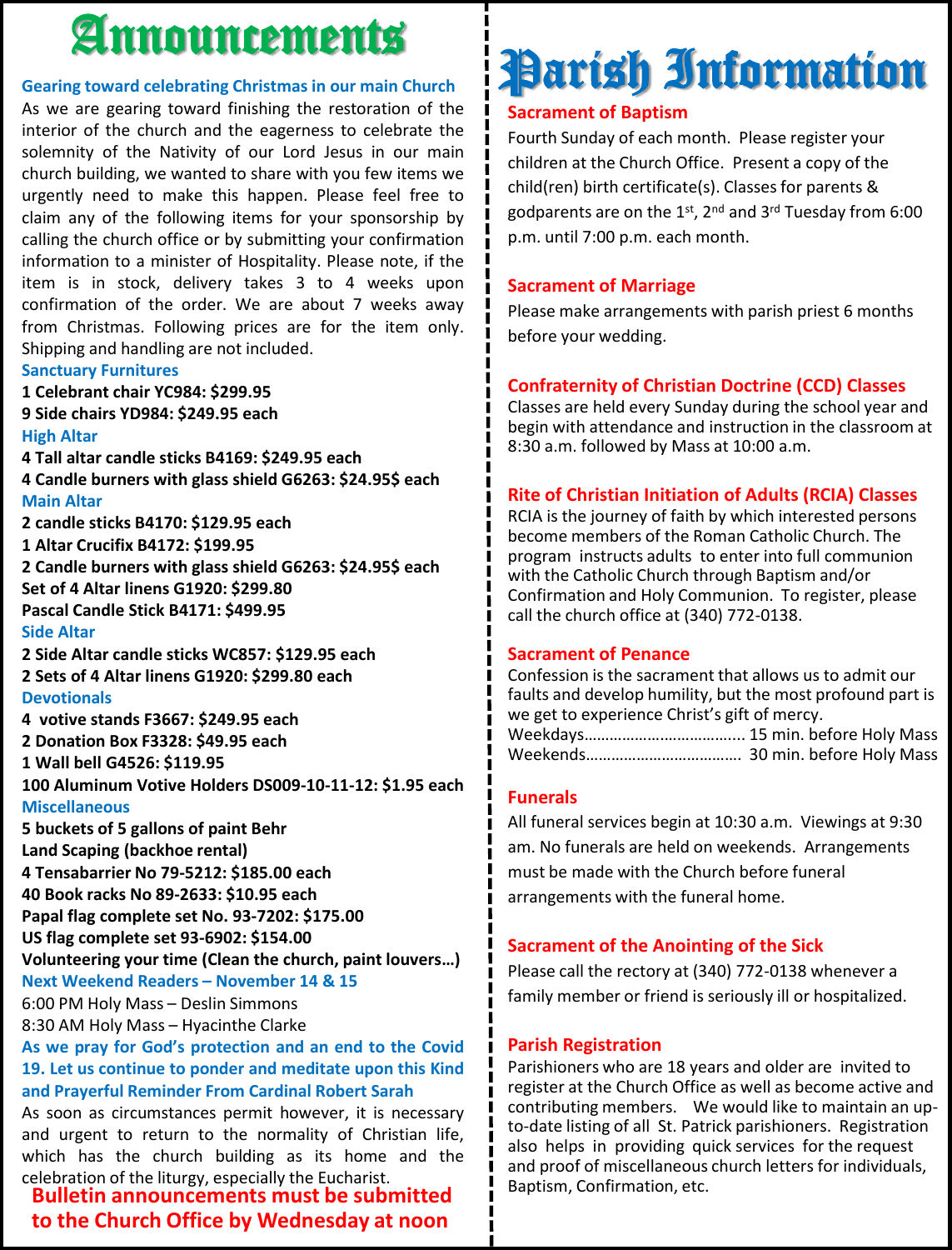## Announcements

#### **Gearing toward celebrating Christmas in our main Church**

As we are gearing toward finishing the restoration of the interior of the church and the eagerness to celebrate the solemnity of the Nativity of our Lord Jesus in our main church building, we wanted to share with you few items we urgently need to make this happen. Please feel free to claim any of the following items for your sponsorship by calling the church office or by submitting your confirmation information to a minister of Hospitality. Please note, if the item is in stock, delivery takes 3 to 4 weeks upon confirmation of the order. We are about 7 weeks away from Christmas. Following prices are for the item only. Shipping and handling are not included.

#### **Sanctuary Furnitures**

**1 Celebrant chair YC984: \$299.95 9 Side chairs YD984: \$249.95 each**

#### **High Altar**

**4 Tall altar candle sticks B4169: \$249.95 each 4 Candle burners with glass shield G6263: \$24.95\$ each Main Altar**

**2 candle sticks B4170: \$129.95 each**

**1 Altar Crucifix B4172: \$199.95**

**2 Candle burners with glass shield G6263: \$24.95\$ each Set of 4 Altar linens G1920: \$299.80 Pascal Candle Stick B4171: \$499.95**

#### **Side Altar**

**2 Side Altar candle sticks WC857: \$129.95 each 2 Sets of 4 Altar linens G1920: \$299.80 each Devotionals**

**4 votive stands F3667: \$249.95 each**

**2 Donation Box F3328: \$49.95 each**

**1 Wall bell G4526: \$119.95**

**100 Aluminum Votive Holders DS009-10-11-12: \$1.95 each Miscellaneous**

**5 buckets of 5 gallons of paint Behr**

**Land Scaping (backhoe rental)**

**4 Tensabarrier No 79-5212: \$185.00 each**

**40 Book racks No 89-2633: \$10.95 each**

**Papal flag complete set No. 93-7202: \$175.00**

**US flag complete set 93-6902: \$154.00**

**Volunteering your time (Clean the church, paint louvers…) Next Weekend Readers – November 14 & 15**

6:00 PM Holy Mass – Deslin Simmons

8:30 AM Holy Mass – Hyacinthe Clarke

**As we pray for God's protection and an end to the Covid 19. Let us continue to ponder and meditate upon this Kind and Prayerful Reminder From Cardinal Robert Sarah**

As soon as circumstances permit however, it is necessary and urgent to return to the normality of Christian life, which has the church building as its home and the celebration of the liturgy, especially the Eucharist.

**Bulletin announcements must be submitted to the Church Office by Wednesday at noon**

## Parish Information

#### **Sacrament of Baptism**

Fourth Sunday of each month. Please register your children at the Church Office. Present a copy of the child(ren) birth certificate(s). Classes for parents & godparents are on the  $1^{st}$ ,  $2^{nd}$  and  $3^{rd}$  Tuesday from 6:00 p.m. until 7:00 p.m. each month.

#### **Sacrament of Marriage**

Please make arrangements with parish priest 6 months before your wedding.

#### **Confraternity of Christian Doctrine (CCD) Classes**

Classes are held every Sunday during the school year and begin with attendance and instruction in the classroom at 8:30 a.m. followed by Mass at 10:00 a.m.

#### **Rite of Christian Initiation of Adults (RCIA) Classes**

RCIA is the journey of faith by which interested persons become members of the Roman Catholic Church. The program instructs adults to enter into full communion with the Catholic Church through Baptism and/or Confirmation and Holy Communion. To register, please call the church office at (340) 772-0138.

#### **Sacrament of Penance**

Confession is the sacrament that allows us to admit our faults and develop humility, but the most profound part is we get to experience Christ's gift of mercy. Weekdays……………….…………….... 15 min. before Holy Mass Weekends………………………………. 30 min. before Holy Mass

#### **Funerals**

All funeral services begin at 10:30 a.m. Viewings at 9:30 am. No funerals are held on weekends. Arrangements must be made with the Church before funeral arrangements with the funeral home.

#### **Sacrament of the Anointing of the Sick**

Please call the rectory at (340) 772-0138 whenever a family member or friend is seriously ill or hospitalized.

#### **Parish Registration**

Parishioners who are 18 years and older are invited to register at the Church Office as well as become active and contributing members. We would like to maintain an upto-date listing of all St. Patrick parishioners. Registration also helps in providing quick services for the request and proof of miscellaneous church letters for individuals, Baptism, Confirmation, etc.